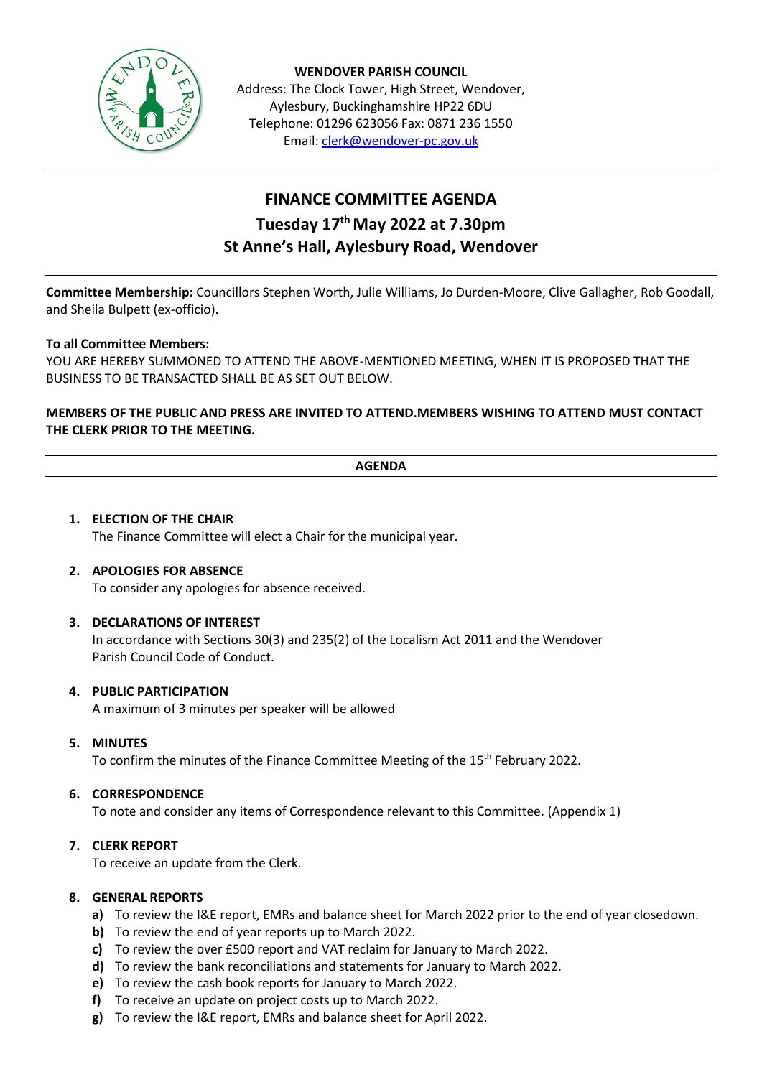

**WENDOVER PARISH COUNCIL** Address: The Clock Tower, High Street, Wendover, Aylesbury, Buckinghamshire HP22 6DU Telephone: 01296 623056 Fax: 0871 236 1550 Email[: clerk@wendover-pc.gov.uk](mailto:clerk@wendover-pc.gov.uk)

# **FINANCE COMMITTEE AGENDA Tuesday 17th May 2022 at 7.30pm St Anne's Hall, Aylesbury Road, Wendover**

**Committee Membership:** Councillors Stephen Worth, Julie Williams, Jo Durden-Moore, Clive Gallagher, Rob Goodall, and Sheila Bulpett (ex-officio).

## **To all Committee Members:**

YOU ARE HEREBY SUMMONED TO ATTEND THE ABOVE-MENTIONED MEETING, WHEN IT IS PROPOSED THAT THE BUSINESS TO BE TRANSACTED SHALL BE AS SET OUT BELOW.

## **MEMBERS OF THE PUBLIC AND PRESS ARE INVITED TO ATTEND.MEMBERS WISHING TO ATTEND MUST CONTACT THE CLERK PRIOR TO THE MEETING.**

#### **AGENDA**

## **1. ELECTION OF THE CHAIR** The Finance Committee will elect a Chair for the municipal year.

# **2. APOLOGIES FOR ABSENCE**

To consider any apologies for absence received.

## **3. DECLARATIONS OF INTEREST**

In accordance with Sections 30(3) and 235(2) of the Localism Act 2011 and the Wendover Parish Council Code of Conduct.

## **4. PUBLIC PARTICIPATION**

A maximum of 3 minutes per speaker will be allowed

#### **5. MINUTES**

To confirm the minutes of the Finance Committee Meeting of the 15<sup>th</sup> February 2022.

## **6. CORRESPONDENCE**

To note and consider any items of Correspondence relevant to this Committee. (Appendix 1)

#### **7. CLERK REPORT**

To receive an update from the Clerk.

#### **8. GENERAL REPORTS**

- **a)** To review the I&E report, EMRs and balance sheet for March 2022 prior to the end of year closedown.
- **b)** To review the end of year reports up to March 2022.
- **c)** To review the over £500 report and VAT reclaim for January to March 2022.
- **d)** To review the bank reconciliations and statements for January to March 2022.
- **e)** To review the cash book reports for January to March 2022.
- **f)** To receive an update on project costs up to March 2022.
- **g)** To review the I&E report, EMRs and balance sheet for April 2022.